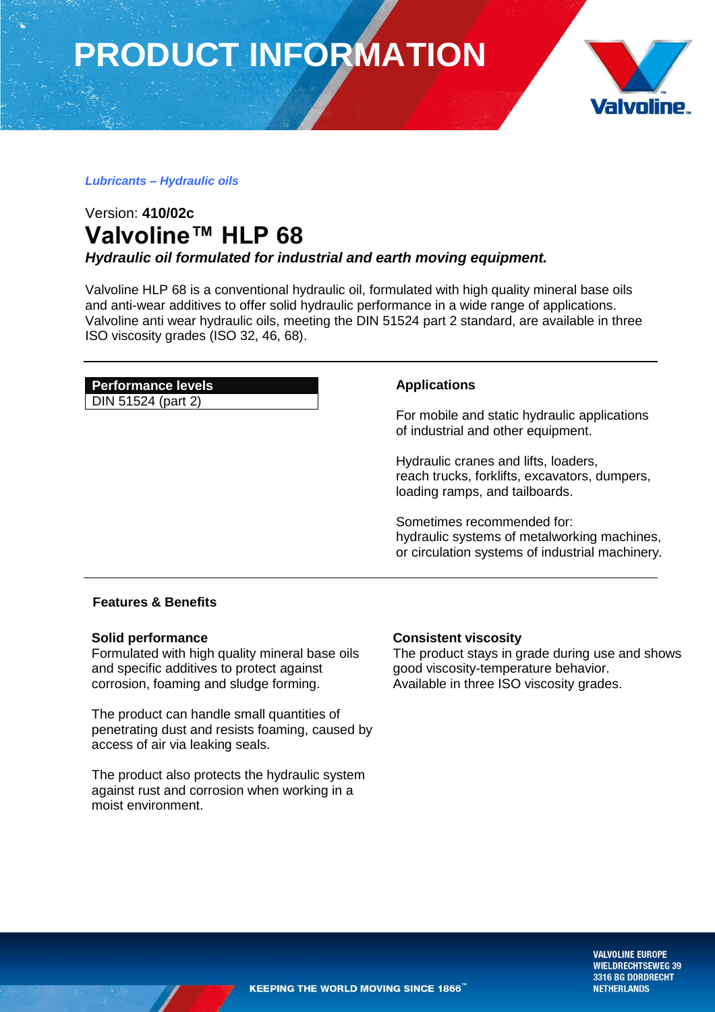**PRODUCT INFORMATION**



### *Lubricants – Hydraulic oils*

## Version: **410/02c Valvoline™ HLP 68**

*Hydraulic oil formulated for industrial and earth moving equipment.*

Valvoline HLP 68 is a conventional hydraulic oil, formulated with high quality mineral base oils and anti-wear additives to offer solid hydraulic performance in a wide range of applications. Valvoline anti wear hydraulic oils, meeting the DIN 51524 part 2 standard, are available in three ISO viscosity grades (ISO 32, 46, 68).

### **Performance levels**

DIN 51524 (part 2)

### **Applications**

For mobile and static hydraulic applications of industrial and other equipment.

Hydraulic cranes and lifts, loaders, reach trucks, forklifts, excavators, dumpers, loading ramps, and tailboards.

Sometimes recommended for: hydraulic systems of metalworking machines, or circulation systems of industrial machinery*.*

### **Features & Benefits**

### **Solid performance**

Formulated with high quality mineral base oils and specific additives to protect against corrosion, foaming and sludge forming.

The product can handle small quantities of penetrating dust and resists foaming, caused by access of air via leaking seals.

The product also protects the hydraulic system against rust and corrosion when working in a moist environment.

### **Consistent viscosity**

The product stays in grade during use and shows good viscosity-temperature behavior. Available in three ISO viscosity grades.

> **VALVOLINE EUROPE WIELDRECHTSEWEG 39** 3316 BG DORDRECHT **NETHERLANDS**